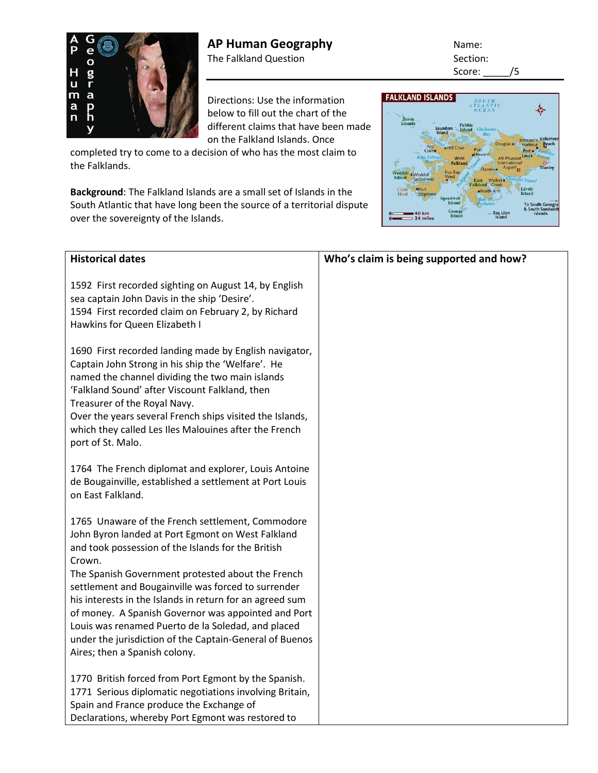

Directions: Use the information below to fill out the chart of the different claims that have been made on the Falkland Islands. Once

completed try to come to a decision of who has the most claim to the Falklands.

**Background**: The Falkland Islands are a small set of Islands in the South Atlantic that have long been the source of a territorial dispute over the sovereignty of the Islands.

Score: \_\_\_\_\_/5 **FALKLAND ISLANDS** ó.

| <b>Historical dates</b>                                                                                         | Who's claim is being supported and how? |
|-----------------------------------------------------------------------------------------------------------------|-----------------------------------------|
| 1592 First recorded sighting on August 14, by English                                                           |                                         |
| sea captain John Davis in the ship 'Desire'.                                                                    |                                         |
| 1594 First recorded claim on February 2, by Richard                                                             |                                         |
| Hawkins for Queen Elizabeth I                                                                                   |                                         |
|                                                                                                                 |                                         |
| 1690 First recorded landing made by English navigator,                                                          |                                         |
| Captain John Strong in his ship the 'Welfare'. He                                                               |                                         |
| named the channel dividing the two main islands                                                                 |                                         |
| 'Falkland Sound' after Viscount Falkland, then                                                                  |                                         |
| Treasurer of the Royal Navy.                                                                                    |                                         |
| Over the years several French ships visited the Islands,                                                        |                                         |
| which they called Les Iles Malouines after the French                                                           |                                         |
| port of St. Malo.                                                                                               |                                         |
|                                                                                                                 |                                         |
| 1764 The French diplomat and explorer, Louis Antoine<br>de Bougainville, established a settlement at Port Louis |                                         |
| on East Falkland.                                                                                               |                                         |
|                                                                                                                 |                                         |
| 1765 Unaware of the French settlement, Commodore                                                                |                                         |
| John Byron landed at Port Egmont on West Falkland                                                               |                                         |
| and took possession of the Islands for the British                                                              |                                         |
| Crown.                                                                                                          |                                         |
| The Spanish Government protested about the French                                                               |                                         |
| settlement and Bougainville was forced to surrender                                                             |                                         |
| his interests in the Islands in return for an agreed sum                                                        |                                         |
| of money. A Spanish Governor was appointed and Port                                                             |                                         |
| Louis was renamed Puerto de la Soledad, and placed                                                              |                                         |
| under the jurisdiction of the Captain-General of Buenos                                                         |                                         |
| Aires; then a Spanish colony.                                                                                   |                                         |
| 1770 British forced from Port Egmont by the Spanish.                                                            |                                         |
| 1771 Serious diplomatic negotiations involving Britain,                                                         |                                         |
| Spain and France produce the Exchange of                                                                        |                                         |
| Declarations, whereby Port Egmont was restored to                                                               |                                         |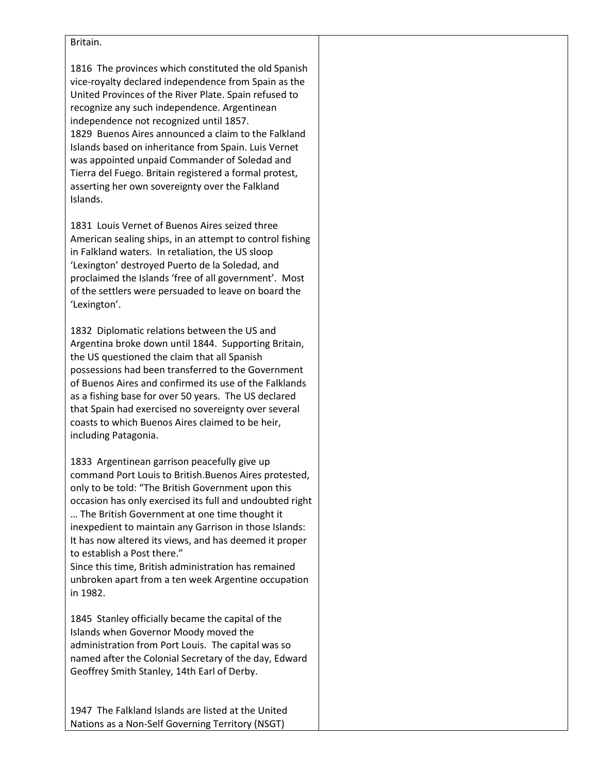## Britain.

1816 The provinces which constituted the old Spanish vice-royalty declared independence from Spain as the United Provinces of the River Plate. Spain refused to recognize any such independence. Argentinean independence not recognized until 1857. 1829 Buenos Aires announced a claim to the Falkland Islands based on inheritance from Spain. Luis Vernet was appointed unpaid Commander of Soledad and Tierra del Fuego. Britain registered a formal protest, asserting her own sovereignty over the Falkland Islands.

1831 Louis Vernet of Buenos Aires seized three American sealing ships, in an attempt to control fishing in Falkland waters. In retaliation, the US sloop 'Lexington' destroyed Puerto de la Soledad, and proclaimed the Islands 'free of all government'. Most of the settlers were persuaded to leave on board the 'Lexington'.

1832 Diplomatic relations between the US and Argentina broke down until 1844. Supporting Britain, the US questioned the claim that all Spanish possessions had been transferred to the Government of Buenos Aires and confirmed its use of the Falklands as a fishing base for over 50 years. The US declared that Spain had exercised no sovereignty over several coasts to which Buenos Aires claimed to be heir, including Patagonia.

1833 Argentinean garrison peacefully give up command Port Louis to British.Buenos Aires protested, only to be told: "The British Government upon this occasion has only exercised its full and undoubted right … The British Government at one time thought it inexpedient to maintain any Garrison in those Islands: It has now altered its views, and has deemed it proper to establish a Post there."

Since this time, British administration has remained unbroken apart from a ten week Argentine occupation in 1982.

1845 Stanley officially became the capital of the Islands when Governor Moody moved the administration from Port Louis. The capital was so named after the Colonial Secretary of the day, Edward Geoffrey Smith Stanley, 14th Earl of Derby.

1947 The Falkland Islands are listed at the United Nations as a Non-Self Governing Territory (NSGT)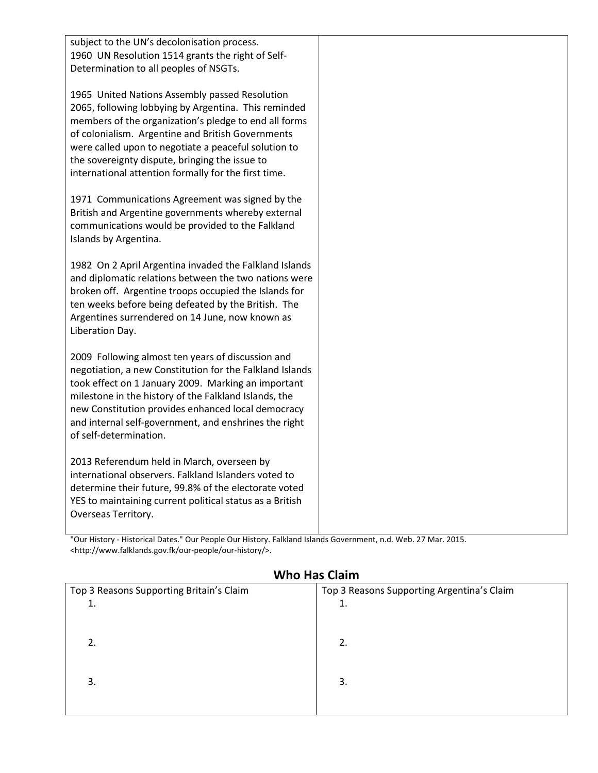| subject to the UN's decolonisation process.<br>1960 UN Resolution 1514 grants the right of Self-<br>Determination to all peoples of NSGTs.                                                                                                                                                                                                                                             |  |
|----------------------------------------------------------------------------------------------------------------------------------------------------------------------------------------------------------------------------------------------------------------------------------------------------------------------------------------------------------------------------------------|--|
| 1965 United Nations Assembly passed Resolution<br>2065, following lobbying by Argentina. This reminded<br>members of the organization's pledge to end all forms<br>of colonialism. Argentine and British Governments<br>were called upon to negotiate a peaceful solution to<br>the sovereignty dispute, bringing the issue to<br>international attention formally for the first time. |  |
| 1971 Communications Agreement was signed by the<br>British and Argentine governments whereby external<br>communications would be provided to the Falkland<br>Islands by Argentina.                                                                                                                                                                                                     |  |
| 1982 On 2 April Argentina invaded the Falkland Islands<br>and diplomatic relations between the two nations were<br>broken off. Argentine troops occupied the Islands for<br>ten weeks before being defeated by the British. The<br>Argentines surrendered on 14 June, now known as<br>Liberation Day.                                                                                  |  |
| 2009 Following almost ten years of discussion and<br>negotiation, a new Constitution for the Falkland Islands<br>took effect on 1 January 2009. Marking an important<br>milestone in the history of the Falkland Islands, the<br>new Constitution provides enhanced local democracy<br>and internal self-government, and enshrines the right<br>of self-determination.                 |  |
| 2013 Referendum held in March, overseen by<br>international observers. Falkland Islanders voted to<br>determine their future, 99.8% of the electorate voted<br>YES to maintaining current political status as a British<br>Overseas Territory.                                                                                                                                         |  |

"Our History - Historical Dates." Our People Our History. Falkland Islands Government, n.d. Web. 27 Mar. 2015. <http://www.falklands.gov.fk/our-people/our-history/>.

| Top 3 Reasons Supporting Britain's Claim | Top 3 Reasons Supporting Argentina's Claim |
|------------------------------------------|--------------------------------------------|
|                                          | 1.                                         |
|                                          |                                            |
|                                          |                                            |
|                                          | 2.                                         |
|                                          |                                            |
|                                          |                                            |
| 3.                                       | 3.                                         |
|                                          |                                            |
|                                          |                                            |

## **Who Has Claim**